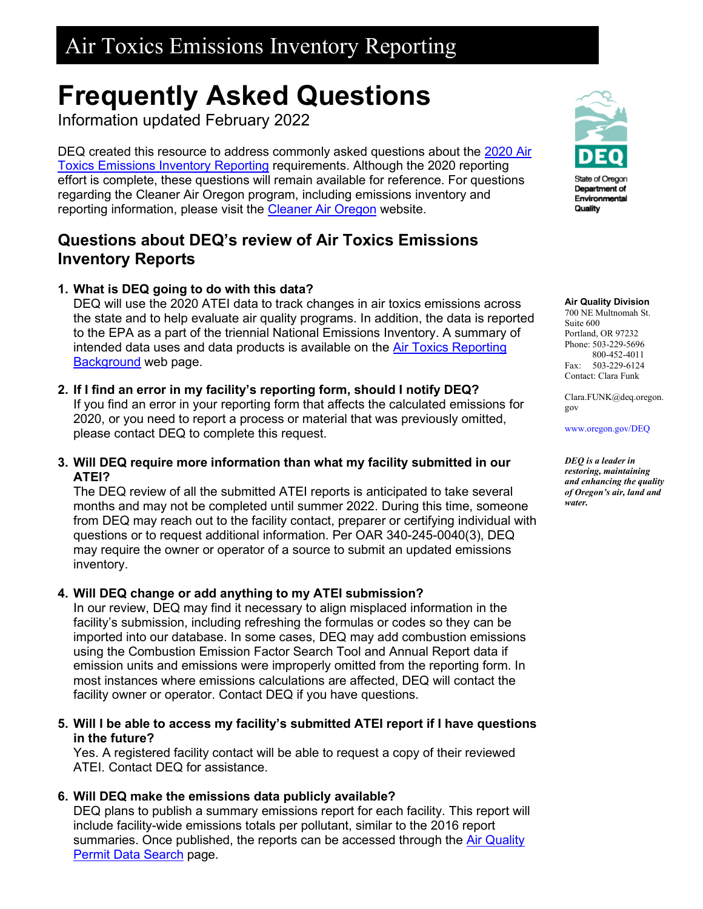# **Frequently Asked Questions**

Information updated February 2022

DEQ created this resource to address commonly asked questions about the 2020 Air [Toxics Emissions Inventory Reporting](https://www.oregon.gov/deq/aq/air-toxics/Pages/Air-Toxics-Emissions-Inventory.aspx) requirements. Although the 2020 reporting effort is complete, these questions will remain available for reference. For questions regarding the Cleaner Air Oregon program, including emissions inventory and reporting information, please visit the [Cleaner Air Oregon](https://www.oregon.gov/deq/aq/cao/Pages/default.aspx) website.

## **Questions about DEQ's review of Air Toxics Emissions Inventory Reports**

### **1. What is DEQ going to do with this data?**

DEQ will use the 2020 ATEI data to track changes in air toxics emissions across the state and to help evaluate air quality programs. In addition, the data is reported to the EPA as a part of the triennial National Emissions Inventory. A summary of intended data uses and data products is available on the [Air Toxics Reporting](https://www.oregon.gov/deq/aq/air-toxics/Pages/Air-Toxics-Background.aspx)  [Background](https://www.oregon.gov/deq/aq/air-toxics/Pages/Air-Toxics-Background.aspx) web page.

**2. If I find an error in my facility's reporting form, should I notify DEQ?**

If you find an error in your reporting form that affects the calculated emissions for 2020, or you need to report a process or material that was previously omitted, please contact DEQ to complete this request.

**3. Will DEQ require more information than what my facility submitted in our ATEI?**

The DEQ review of all the submitted ATEI reports is anticipated to take several months and may not be completed until summer 2022. During this time, someone from DEQ may reach out to the facility contact, preparer or certifying individual with questions or to request additional information. Per OAR 340-245-0040(3), DEQ may require the owner or operator of a source to submit an updated emissions inventory.

### **4. Will DEQ change or add anything to my ATEI submission?**

In our review, DEQ may find it necessary to align misplaced information in the facility's submission, including refreshing the formulas or codes so they can be imported into our database. In some cases, DEQ may add combustion emissions using the Combustion Emission Factor Search Tool and Annual Report data if emission units and emissions were improperly omitted from the reporting form. In most instances where emissions calculations are affected, DEQ will contact the facility owner or operator. Contact DEQ if you have questions.

#### **5. Will I be able to access my facility's submitted ATEI report if I have questions in the future?**

Yes. A registered facility contact will be able to request a copy of their reviewed ATEI. Contact DEQ for assistance.

### **6. Will DEQ make the emissions data publicly available?**

DEQ plans to publish a summary emissions report for each facility. This report will include facility-wide emissions totals per pollutant, similar to the 2016 report summaries. Once published, the reports can be accessed through the [Air Quality](https://www.deq.state.or.us/aq/aqpermitsonline/SearchFilter.asp)  [Permit Data Search](https://www.deq.state.or.us/aq/aqpermitsonline/SearchFilter.asp) page.



State of Oregon Department of Environmental Quality

#### **Air Quality Division**

700 NE Multnomah St. Suite 600 Portland, OR 97232 Phone: 503-229-5696 800-452-4011 Fax: 503-229-6124 Contact: Clara Funk

Clara.FUNK@deq.oregon. gov

[www.oregon.gov/DEQ](file://deq000/Templates/General/www.oregon.gov/DEQ)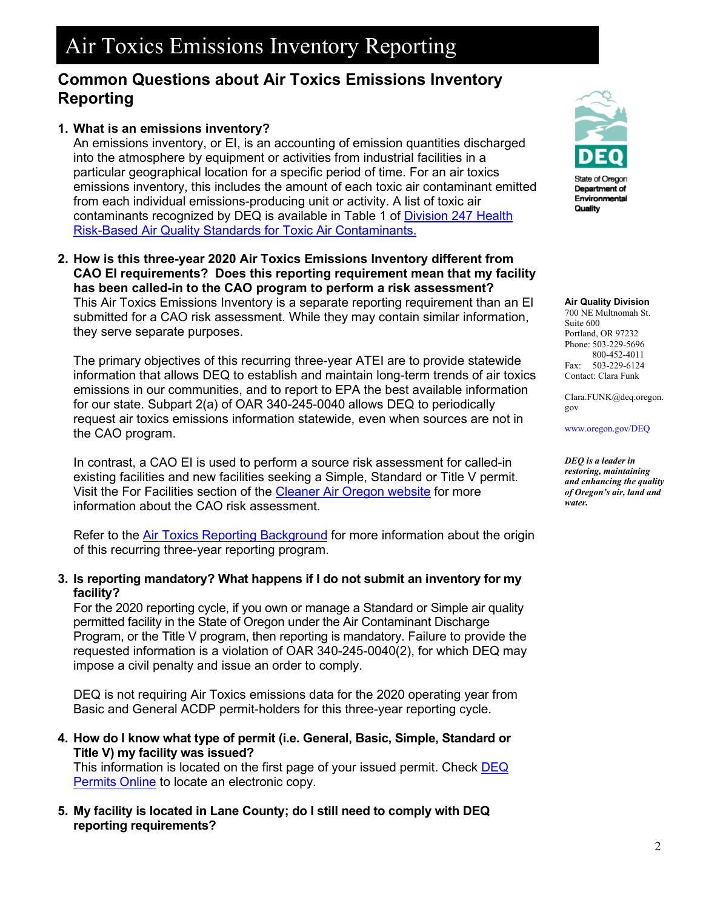## **Common Questions about Air Toxics Emissions Inventory Reporting**

### **1. What is an emissions inventory?**

An emissions inventory, or EI, is an accounting of emission quantities discharged into the atmosphere by equipment or activities from industrial facilities in a particular geographical location for a specific period of time. For an air toxics emissions inventory, this includes the amount of each toxic air contaminant emitted from each individual emissions-producing unit or activity. A list of toxic air contaminants recognized by DEQ is available in Table 1 of [Division 247 Health](https://secure.sos.state.or.us/oard/viewSingleRule.action?ruleVrsnRsn=283437)  [Risk-Based Air Quality Standards for Toxic Air Contaminants.](https://secure.sos.state.or.us/oard/viewSingleRule.action?ruleVrsnRsn=283437) 

**2. How is this three-year 2020 Air Toxics Emissions Inventory different from CAO EI requirements? Does this reporting requirement mean that my facility has been called-in to the CAO program to perform a risk assessment?** This Air Toxics Emissions Inventory is a separate reporting requirement than an EI submitted for a CAO risk assessment. While they may contain similar information, they serve separate purposes.

The primary objectives of this recurring three-year ATEI are to provide statewide information that allows DEQ to establish and maintain long-term trends of air toxics emissions in our communities, and to report to EPA the best available information for our state. Subpart 2(a) of OAR 340-245-0040 allows DEQ to periodically request air toxics emissions information statewide, even when sources are not in the CAO program.

In contrast, a CAO EI is used to perform a source risk assessment for called-in existing facilities and new facilities seeking a Simple, Standard or Title V permit. Visit the For Facilities section of the [Cleaner Air Oregon website](https://www.oregon.gov/deq/aq/cao/Pages/default.aspx) for more information about the CAO risk assessment.

Refer to the **Air Toxics Reporting Background** for more information about the origin of this recurring three-year reporting program.

#### **3. Is reporting mandatory? What happens if I do not submit an inventory for my facility?**

For the 2020 reporting cycle, if you own or manage a Standard or Simple air quality permitted facility in the State of Oregon under the Air Contaminant Discharge Program, or the Title V program, then reporting is mandatory. Failure to provide the requested information is a violation of OAR 340-245-0040(2), for which DEQ may impose a civil penalty and issue an order to comply.

DEQ is not requiring Air Toxics emissions data for the 2020 operating year from Basic and General ACDP permit-holders for this three-year reporting cycle.

**4. How do I know what type of permit (i.e. General, Basic, Simple, Standard or Title V) my facility was issued?**

This information is located on the first page of your issued permit. Check [DEQ](https://www.deq.state.or.us/aq/aqpermitsonline/SearchFilter.asp)  [Permits Online](https://www.deq.state.or.us/aq/aqpermitsonline/SearchFilter.asp) to locate an electronic copy.

**5. My facility is located in Lane County; do I still need to comply with DEQ reporting requirements?**



State of Oregon Department of Environmental Quality

#### **Air Quality Division**

700 NE Multnomah St. Suite 600 Portland, OR 97232 Phone: 503-229-5696 800-452-4011 Fax: 503-229-6124 Contact: Clara Funk

Clara.FUNK@deq.oregon. gov

[www.oregon.gov/DEQ](file://deq000/Templates/General/www.oregon.gov/DEQ)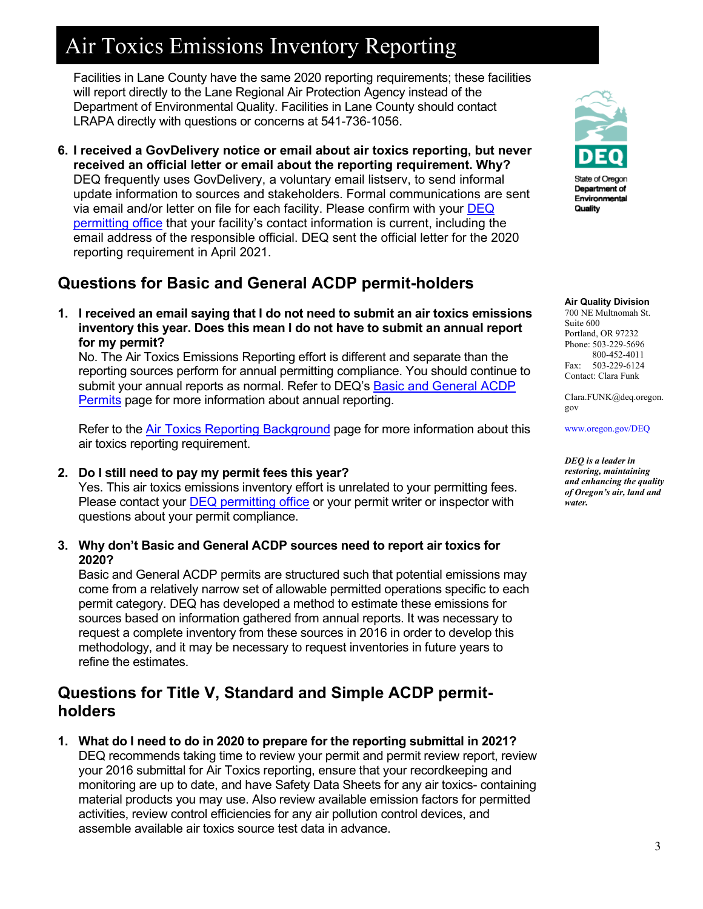Facilities in Lane County have the same 2020 reporting requirements; these facilities will report directly to the Lane Regional Air Protection Agency instead of the Department of Environmental Quality. Facilities in Lane County should contact LRAPA directly with questions or concerns at 541-736-1056.

**6. I received a GovDelivery notice or email about air toxics reporting, but never received an official letter or email about the reporting requirement. Why?** DEQ frequently uses GovDelivery, a voluntary email listserv, to send informal update information to sources and stakeholders. Formal communications are sent via email and/or letter on file for each facility. Please confirm with your [DEQ](https://www.oregon.gov/deq/aq/aqPermits/Pages/Contacts.aspx)  [permitting office](https://www.oregon.gov/deq/aq/aqPermits/Pages/Contacts.aspx) that your facility's contact information is current, including the email address of the responsible official. DEQ sent the official letter for the 2020 reporting requirement in April 2021.

## **Questions for Basic and General ACDP permit-holders**

**1. I received an email saying that I do not need to submit an air toxics emissions inventory this year. Does this mean I do not have to submit an annual report for my permit?** 

No. The Air Toxics Emissions Reporting effort is different and separate than the reporting sources perform for annual permitting compliance. You should continue to submit your annual reports as normal. Refer to DEQ's [Basic and General ACDP](https://www.oregon.gov/deq/aq/aqPermits/Pages/ACDP-General.aspx)  [Permits](https://www.oregon.gov/deq/aq/aqPermits/Pages/ACDP-General.aspx) page for more information about annual reporting.

Refer to the **Air Toxics Reporting Background** page for more information about this air toxics reporting requirement.

**2. Do I still need to pay my permit fees this year?**

Yes. This air toxics emissions inventory effort is unrelated to your permitting fees. Please contact your [DEQ permitting office](https://www.oregon.gov/deq/aq/aqPermits/Pages/Contacts.aspx) or your permit writer or inspector with questions about your permit compliance.

**3. Why don't Basic and General ACDP sources need to report air toxics for 2020?**

Basic and General ACDP permits are structured such that potential emissions may come from a relatively narrow set of allowable permitted operations specific to each permit category. DEQ has developed a method to estimate these emissions for sources based on information gathered from annual reports. It was necessary to request a complete inventory from these sources in 2016 in order to develop this methodology, and it may be necessary to request inventories in future years to refine the estimates.

## **Questions for Title V, Standard and Simple ACDP permitholders**

**1. What do I need to do in 2020 to prepare for the reporting submittal in 2021?** DEQ recommends taking time to review your permit and permit review report, review your 2016 submittal for Air Toxics reporting, ensure that your recordkeeping and monitoring are up to date, and have Safety Data Sheets for any air toxics- containing material products you may use. Also review available emission factors for permitted activities, review control efficiencies for any air pollution control devices, and assemble available air toxics source test data in advance.



State of Oregon Department of Environmental Quality

#### **Air Quality Division**

700 NE Multnomah St. Suite 600 Portland, OR 97232 Phone: 503-229-5696 800-452-4011 Fax: 503-229-6124 Contact: Clara Funk

Clara.FUNK@deq.oregon. gov

[www.oregon.gov/DEQ](file://deq000/Templates/General/www.oregon.gov/DEQ)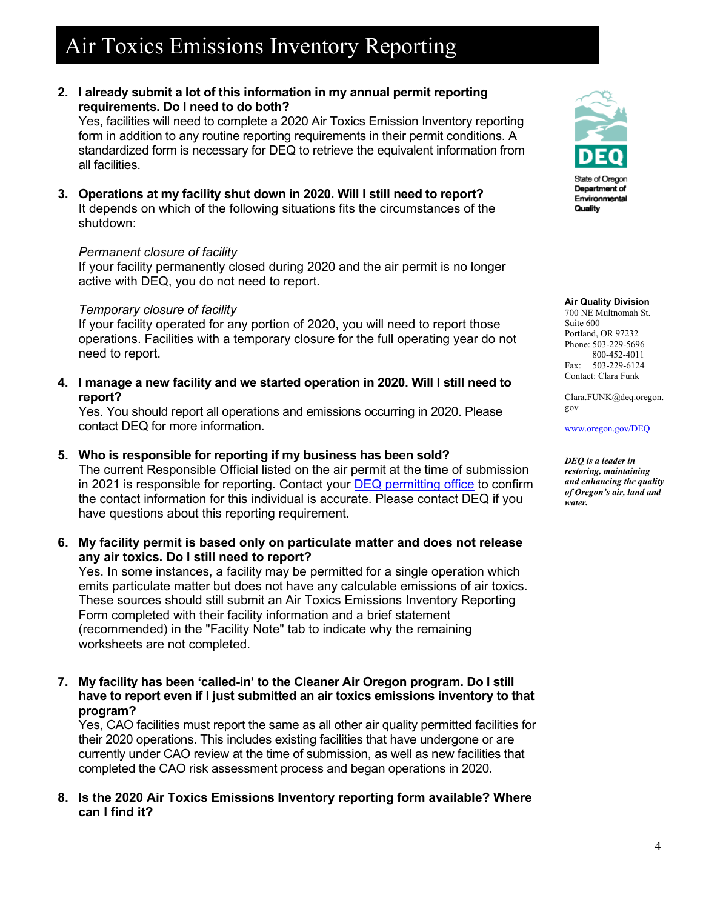**2. I already submit a lot of this information in my annual permit reporting requirements. Do I need to do both?**

Yes, facilities will need to complete a 2020 Air Toxics Emission Inventory reporting form in addition to any routine reporting requirements in their permit conditions. A standardized form is necessary for DEQ to retrieve the equivalent information from all facilities.

**3. Operations at my facility shut down in 2020. Will I still need to report?** It depends on which of the following situations fits the circumstances of the shutdown:

#### *Permanent closure of facility*

If your facility permanently closed during 2020 and the air permit is no longer active with DEQ, you do not need to report.

#### *Temporary closure of facility*

If your facility operated for any portion of 2020, you will need to report those operations. Facilities with a temporary closure for the full operating year do not need to report.

**4. I manage a new facility and we started operation in 2020. Will I still need to report?** 

Yes. You should report all operations and emissions occurring in 2020. Please contact DEQ for more information.

**5. Who is responsible for reporting if my business has been sold?**

The current Responsible Official listed on the air permit at the time of submission in 2021 is responsible for reporting. Contact your [DEQ permitting office](https://www.oregon.gov/deq/aq/aqPermits/Pages/Contacts.aspx) to confirm the contact information for this individual is accurate. Please contact DEQ if you have questions about this reporting requirement.

**6. My facility permit is based only on particulate matter and does not release any air toxics. Do I still need to report?**

Yes. In some instances, a facility may be permitted for a single operation which emits particulate matter but does not have any calculable emissions of air toxics. These sources should still submit an Air Toxics Emissions Inventory Reporting Form completed with their facility information and a brief statement (recommended) in the "Facility Note" tab to indicate why the remaining worksheets are not completed.

**7. My facility has been 'called-in' to the Cleaner Air Oregon program. Do I still have to report even if I just submitted an air toxics emissions inventory to that program?**

Yes, CAO facilities must report the same as all other air quality permitted facilities for their 2020 operations. This includes existing facilities that have undergone or are currently under CAO review at the time of submission, as well as new facilities that completed the CAO risk assessment process and began operations in 2020.

**8. Is the 2020 Air Toxics Emissions Inventory reporting form available? Where can I find it?** 



State of Oregon Department of Environmental Quality

#### **Air Quality Division**

700 NE Multnomah St. Suite 600 Portland, OR 97232 Phone: 503-229-5696 800-452-4011 Fax: 503-229-6124 Contact: Clara Funk

Clara.FUNK@deq.oregon. gov

[www.oregon.gov/DEQ](file://deq000/Templates/General/www.oregon.gov/DEQ)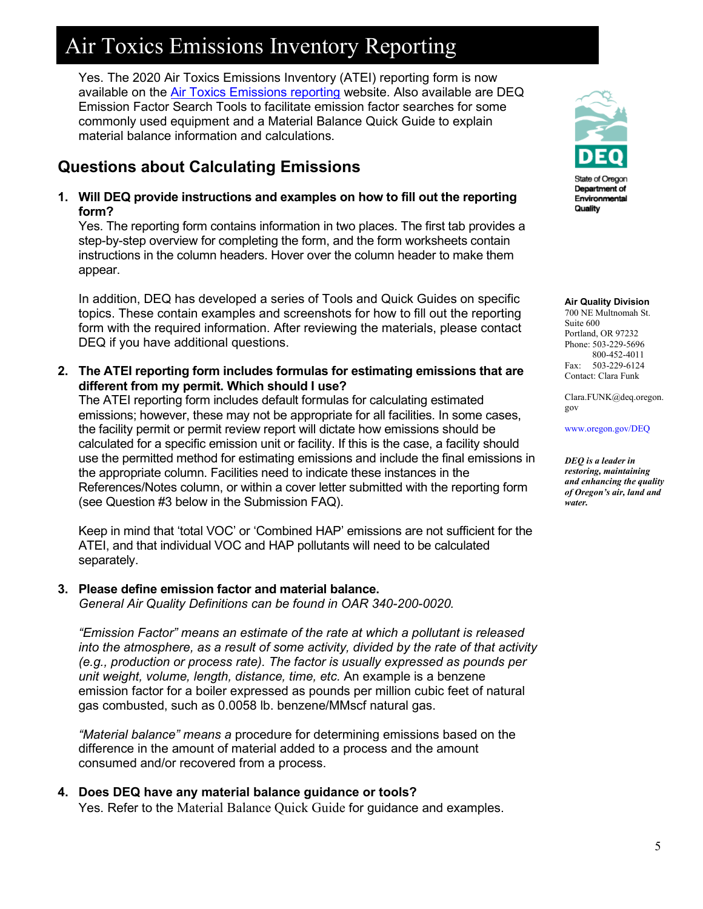Yes. The 2020 Air Toxics Emissions Inventory (ATEI) reporting form is now available on the [Air Toxics Emissions reporting](https://www.oregon.gov/deq/aq/air-toxics/Pages/Air-Toxics-Emissions-Inventory.aspx) website. Also available are DEQ Emission Factor Search Tools to facilitate emission factor searches for some commonly used equipment and a Material Balance Quick Guide to explain material balance information and calculations.

## **Questions about Calculating Emissions**

**1. Will DEQ provide instructions and examples on how to fill out the reporting form?** 

Yes. The reporting form contains information in two places. The first tab provides a step-by-step overview for completing the form, and the form worksheets contain instructions in the column headers. Hover over the column header to make them appear.

In addition, DEQ has developed a series of Tools and Quick Guides on specific topics. These contain examples and screenshots for how to fill out the reporting form with the required information. After reviewing the materials, please contact DEQ if you have additional questions.

**2. The ATEI reporting form includes formulas for estimating emissions that are different from my permit. Which should I use?**

The ATEI reporting form includes default formulas for calculating estimated emissions; however, these may not be appropriate for all facilities. In some cases, the facility permit or permit review report will dictate how emissions should be calculated for a specific emission unit or facility. If this is the case, a facility should use the permitted method for estimating emissions and include the final emissions in the appropriate column. Facilities need to indicate these instances in the References/Notes column, or within a cover letter submitted with the reporting form (see Question #3 below in the Submission FAQ).

Keep in mind that 'total VOC' or 'Combined HAP' emissions are not sufficient for the ATEI, and that individual VOC and HAP pollutants will need to be calculated separately.

#### **3. Please define emission factor and material balance.**

*General Air Quality Definitions can be found in OAR 340-200-0020.* 

*"Emission Factor" means an estimate of the rate at which a pollutant is released into the atmosphere, as a result of some activity, divided by the rate of that activity (e.g., production or process rate). The factor is usually expressed as pounds per unit weight, volume, length, distance, time, etc.* An example is a benzene emission factor for a boiler expressed as pounds per million cubic feet of natural gas combusted, such as 0.0058 lb. benzene/MMscf natural gas.

*"Material balance" means a* procedure for determining emissions based on the difference in the amount of material added to a process and the amount consumed and/or recovered from a process.

#### **4. Does DEQ have any material balance guidance or tools?** Yes. Refer to the Material Balance Quick Guide for guidance and examples.



State of Oregon Department of Environmental Quality

#### **Air Quality Division**

700 NE Multnomah St. Suite 600 Portland, OR 97232 Phone: 503-229-5696 800-452-4011 Fax: 503-229-6124 Contact: Clara Funk

Clara.FUNK@deq.oregon. gov

[www.oregon.gov/DEQ](file://deq000/Templates/General/www.oregon.gov/DEQ)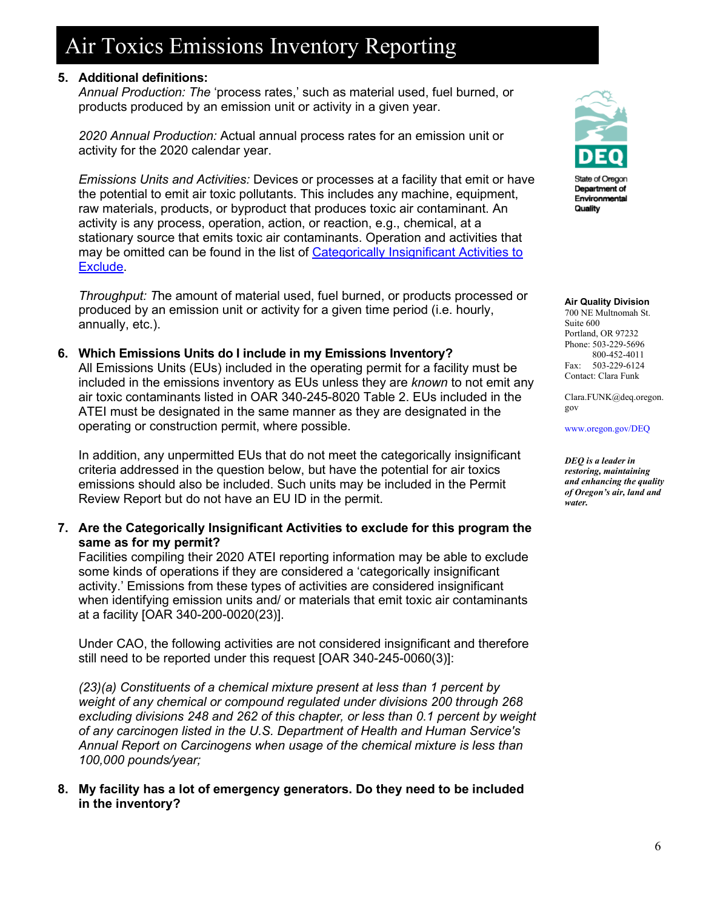### **5. Additional definitions:**

*Annual Production: The* 'process rates,' such as material used, fuel burned, or products produced by an emission unit or activity in a given year.

*2020 Annual Production:* Actual annual process rates for an emission unit or activity for the 2020 calendar year.

*Emissions Units and Activities:* Devices or processes at a facility that emit or have the potential to emit air toxic pollutants. This includes any machine, equipment, raw materials, products, or byproduct that produces toxic air contaminant. An activity is any process, operation, action, or reaction, e.g., chemical, at a stationary source that emits toxic air contaminants. Operation and activities that may be omitted can be found in the list of Categorically Insignificant Activities to [Exclude.](https://www.oregon.gov/deq/aq/Documents/2020-AT-InsignificantActivities.pdf)

*Throughput: T*he amount of material used, fuel burned, or products processed or produced by an emission unit or activity for a given time period (i.e. hourly, annually, etc.).

**6. Which Emissions Units do I include in my Emissions Inventory?** All Emissions Units (EUs) included in the operating permit for a facility must be included in the emissions inventory as EUs unless they are *known* to not emit any air toxic contaminants listed in OAR 340-245-8020 Table 2. EUs included in the ATEI must be designated in the same manner as they are designated in the operating or construction permit, where possible.

In addition, any unpermitted EUs that do not meet the categorically insignificant criteria addressed in the question below, but have the potential for air toxics emissions should also be included. Such units may be included in the Permit Review Report but do not have an EU ID in the permit.

**7. Are the Categorically Insignificant Activities to exclude for this program the same as for my permit?** 

Facilities compiling their 2020 ATEI reporting information may be able to exclude some kinds of operations if they are considered a 'categorically insignificant activity.' Emissions from these types of activities are considered insignificant when identifying emission units and/ or materials that emit toxic air contaminants at a facility [OAR 340-200-0020(23)].

Under CAO, the following activities are not considered insignificant and therefore still need to be reported under this request [OAR 340-245-0060(3)]:

*(23)(a) Constituents of a chemical mixture present at less than 1 percent by weight of any chemical or compound regulated under divisions 200 through 268 excluding divisions 248 and 262 of this chapter, or less than 0.1 percent by weight of any carcinogen listed in the U.S. Department of Health and Human Service's Annual Report on Carcinogens when usage of the chemical mixture is less than 100,000 pounds/year;*

**8. My facility has a lot of emergency generators. Do they need to be included in the inventory?**



State of Oregon Department of Environmental Quality

#### **Air Quality Division**

700 NE Multnomah St. Suite 600 Portland, OR 97232 Phone: 503-229-5696 800-452-4011 Fax: 503-229-6124 Contact: Clara Funk

Clara.FUNK@deq.oregon. gov

[www.oregon.gov/DEQ](file://deq000/Templates/General/www.oregon.gov/DEQ)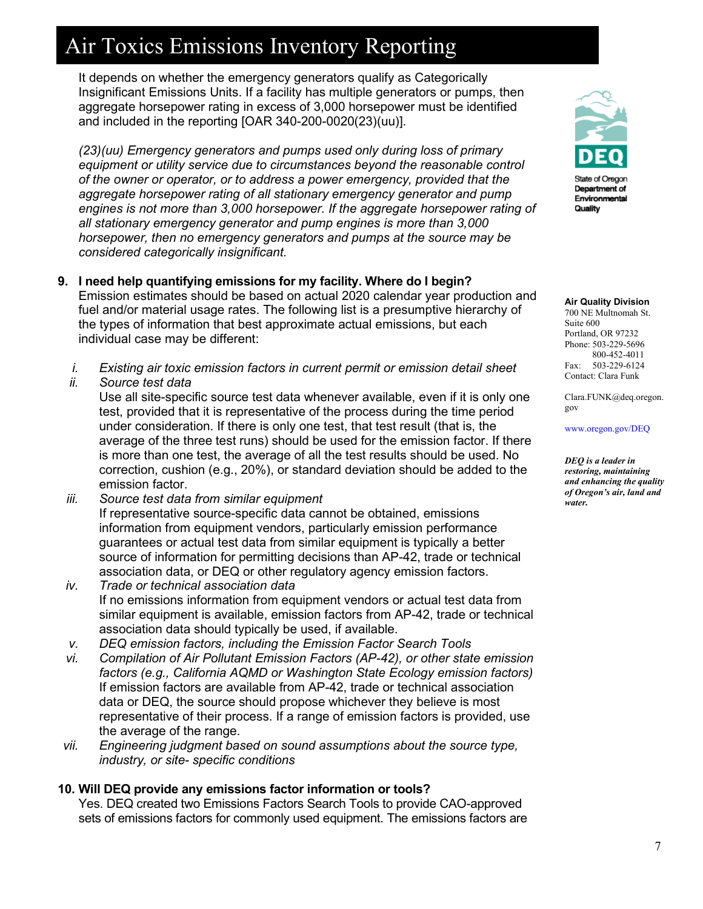It depends on whether the emergency generators qualify as Categorically Insignificant Emissions Units. If a facility has multiple generators or pumps, then aggregate horsepower rating in excess of 3,000 horsepower must be identified and included in the reporting [OAR 340-200-0020(23)(uu)].

*(23)(uu) Emergency generators and pumps used only during loss of primary equipment or utility service due to circumstances beyond the reasonable control of the owner or operator, or to address a power emergency, provided that the aggregate horsepower rating of all stationary emergency generator and pump*  engines is not more than 3,000 horsepower. If the aggregate horsepower rating of *all stationary emergency generator and pump engines is more than 3,000 horsepower, then no emergency generators and pumps at the source may be considered categorically insignificant.*

- **9. I need help quantifying emissions for my facility. Where do I begin?**  Emission estimates should be based on actual 2020 calendar year production and fuel and/or material usage rates. The following list is a presumptive hierarchy of the types of information that best approximate actual emissions, but each individual case may be different:
	- *i. Existing air toxic emission factors in current permit or emission detail sheet*
	- *ii. Source test data*

Use all site-specific source test data whenever available, even if it is only one test, provided that it is representative of the process during the time period under consideration. If there is only one test, that test result (that is, the average of the three test runs) should be used for the emission factor. If there is more than one test, the average of all the test results should be used. No correction, cushion (e.g., 20%), or standard deviation should be added to the emission factor.

- *iii. Source test data from similar equipment* If representative source-specific data cannot be obtained, emissions information from equipment vendors, particularly emission performance guarantees or actual test data from similar equipment is typically a better source of information for permitting decisions than AP-42, trade or technical association data, or DEQ or other regulatory agency emission factors.
- *iv. Trade or technical association data*  If no emissions information from equipment vendors or actual test data from similar equipment is available, emission factors from AP-42, trade or technical association data should typically be used, if available.
- *v. DEQ emission factors, including the Emission Factor Search Tools*
- *vi. Compilation of Air Pollutant Emission Factors (AP-42), or other state emission factors (e.g., California AQMD or Washington State Ecology emission factors)* If emission factors are available from AP-42, trade or technical association data or DEQ, the source should propose whichever they believe is most representative of their process. If a range of emission factors is provided, use the average of the range.
- *vii. Engineering judgment based on sound assumptions about the source type, industry, or site- specific conditions*

#### **10. Will DEQ provide any emissions factor information or tools?**

Yes. DEQ created two Emissions Factors Search Tools to provide CAO-approved sets of emissions factors for commonly used equipment. The emissions factors are



State of Oregon Department of Environmental Quality

#### **Air Quality Division**

700 NE Multnomah St. Suite 600 Portland, OR 97232 Phone: 503-229-5696 800-452-4011 Fax: 503-229-6124 Contact: Clara Funk

Clara.FUNK@deq.oregon. gov

[www.oregon.gov/DEQ](file://deq000/Templates/General/www.oregon.gov/DEQ)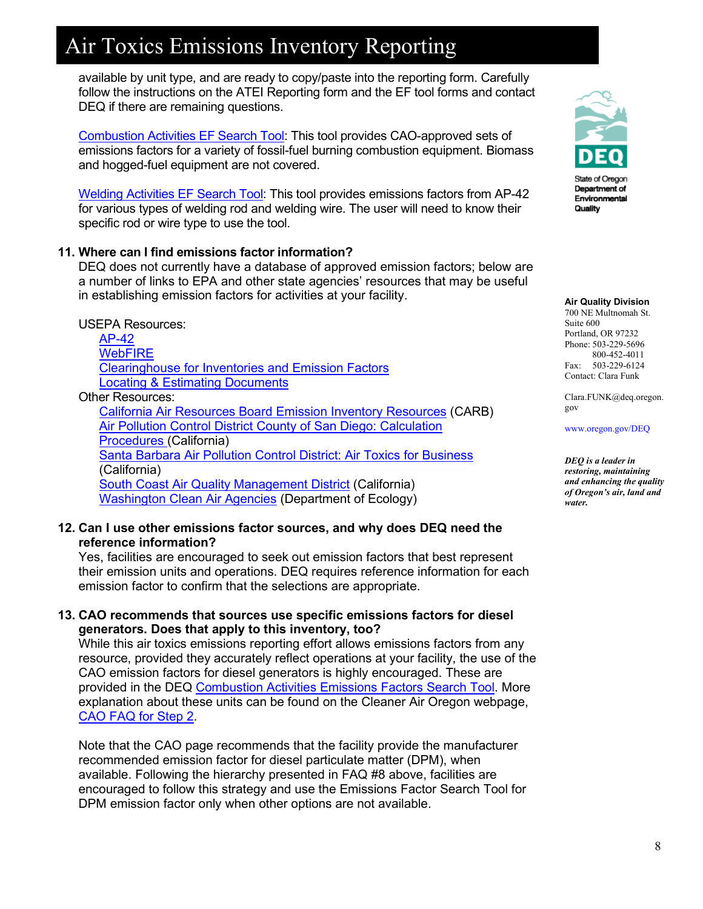available by unit type, and are ready to copy/paste into the reporting form. Carefully follow the instructions on the ATEI Reporting form and the EF tool forms and contact DEQ if there are remaining questions.

[Combustion Activities EF Search Tool:](https://www.oregon.gov/deq/aq/Documents/2020ATEICombustionEFTool.xlsx) This tool provides CAO-approved sets of emissions factors for a variety of fossil-fuel burning combustion equipment. Biomass and hogged-fuel equipment are not covered.

[Welding Activities EF](https://www.oregon.gov/deq/aq/Documents/2020ATEIWeldingEFTool.xlsx) Search Tool: This tool provides emissions factors from AP-42 for various types of welding rod and welding wire. The user will need to know their specific rod or wire type to use the tool.

#### **11. Where can I find emissions factor information?**

DEQ does not currently have a database of approved emission factors; below are a number of links to EPA and other state agencies' resources that may be useful in establishing emission factors for activities at your facility.

#### USEPA Resources:

[AP-42](https://www.epa.gov/air-emissions-factors-and-quantification/ap-42-compilation-air-emissions-factors) **[WebFIRE](https://cfpub.epa.gov/webfire/)** [Clearinghouse for Inventories and Emission Factors](https://www.epa.gov/chief) [Locating & Estimating Documents](https://www3.epa.gov/ttn/chief/le/index.html)

#### Other Resources:

[California Air Resources Board Emission Inventory Resources](https://ww3.arb.ca.gov/ei/resourceslinks.htm) (CARB) [Air Pollution Control District County of San Diego: Calculation](http://www.sdapcd.org/content/sdc/apcd/en/engineering/Permits/Engineering_Emissions_Inventory/Engineering_Phase_3_Toxics_Procedures.html)  [Procedures](http://www.sdapcd.org/content/sdc/apcd/en/engineering/Permits/Engineering_Emissions_Inventory/Engineering_Phase_3_Toxics_Procedures.html) (California) [Santa Barbara Air Pollution Control District: Air Toxics for Business](https://www.ourair.org/air-toxics-for-business/) (California) **[South Coast Air Quality Management District](https://www.aqmd.gov/home/rules-compliance/compliance/toxic-hot-spots-ab-2588/emissions-reporting) (California)** [Washington Clean Air Agencies](https://ecology.wa.gov/About-us/Our-role-in-the-community/Partnerships-committees/Clean-air-agencies) (Department of Ecology)

#### **12. Can I use other emissions factor sources, and why does DEQ need the reference information?**

Yes, facilities are encouraged to seek out emission factors that best represent their emission units and operations. DEQ requires reference information for each emission factor to confirm that the selections are appropriate.

#### **13. CAO recommends that sources use specific emissions factors for diesel generators. Does that apply to this inventory, too?**

While this air toxics emissions reporting effort allows emissions factors from any resource, provided they accurately reflect operations at your facility, the use of the CAO emission factors for diesel generators is highly encouraged. These are provided in the DEQ [Combustion Activities Emissions Factors Search Tool.](https://www.oregon.gov/deq/aq/Documents/2020ATEICombustionEFTool.xlsx) More explanation about these units can be found on the Cleaner Air Oregon webpage, [CAO FAQ for Step 2.](https://www.oregon.gov/deq/aq/cao/Pages/faq-step2.aspx)

Note that the CAO page recommends that the facility provide the manufacturer recommended emission factor for diesel particulate matter (DPM), when available. Following the hierarchy presented in FAQ #8 above, facilities are encouraged to follow this strategy and use the Emissions Factor Search Tool for DPM emission factor only when other options are not available.



State of Oregon Department of Environmental Quality

#### **Air Quality Division**

700 NE Multnomah St. Suite 600 Portland, OR 97232 Phone: 503-229-5696 800-452-4011 Fax: 503-229-6124 Contact: Clara Funk

Clara.FUNK@deq.oregon. gov

[www.oregon.gov/DEQ](file://deq000/Templates/General/www.oregon.gov/DEQ)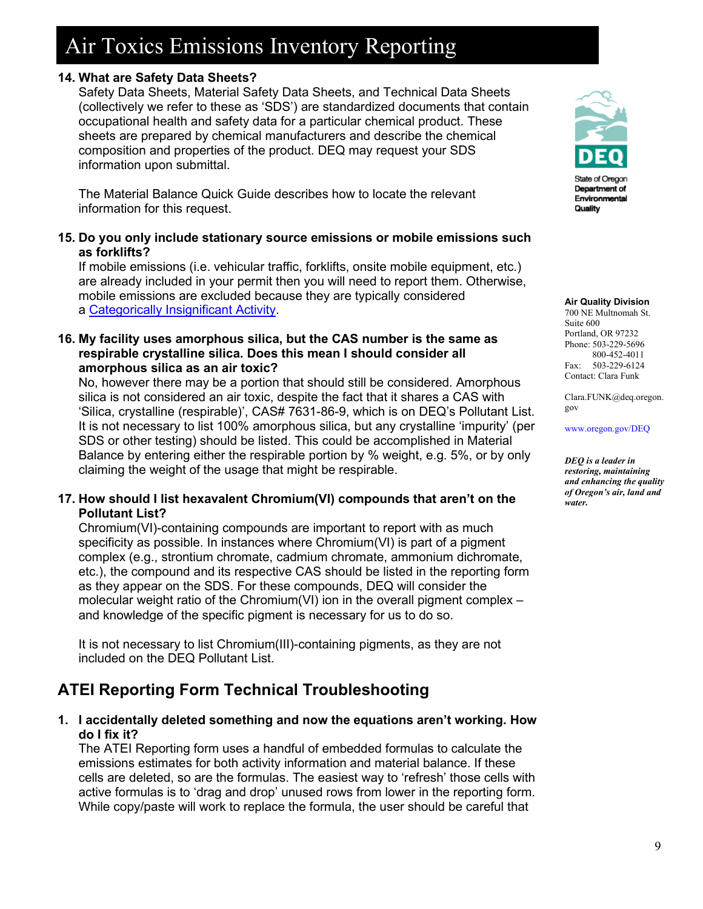### **14. What are Safety Data Sheets?**

Safety Data Sheets, Material Safety Data Sheets, and Technical Data Sheets (collectively we refer to these as 'SDS') are standardized documents that contain occupational health and safety data for a particular chemical product. These sheets are prepared by chemical manufacturers and describe the chemical composition and properties of the product. DEQ may request your SDS information upon submittal.

The Material Balance Quick Guide describes how to locate the relevant information for this request.

### **15. Do you only include stationary source emissions or mobile emissions such as forklifts?**

If mobile emissions (i.e. vehicular traffic, forklifts, onsite mobile equipment, etc.) are already included in your permit then you will need to report them. Otherwise, mobile emissions are excluded because they are typically considered a [Categorically Insignificant Activity.](https://www.oregon.gov/deq/aq/Documents/2020-AT-InsignificantActivities.pdf)

#### **16. My facility uses amorphous silica, but the CAS number is the same as respirable crystalline silica. Does this mean I should consider all amorphous silica as an air toxic?**

No, however there may be a portion that should still be considered. Amorphous silica is not considered an air toxic, despite the fact that it shares a CAS with 'Silica, crystalline (respirable)', CAS# 7631-86-9, which is on DEQ's Pollutant List. It is not necessary to list 100% amorphous silica, but any crystalline 'impurity' (per SDS or other testing) should be listed. This could be accomplished in Material Balance by entering either the respirable portion by % weight, e.g. 5%, or by only claiming the weight of the usage that might be respirable.

### **17. How should I list hexavalent Chromium(VI) compounds that aren't on the Pollutant List?**

Chromium(VI)-containing compounds are important to report with as much specificity as possible. In instances where Chromium(VI) is part of a pigment complex (e.g., strontium chromate, cadmium chromate, ammonium dichromate, etc.), the compound and its respective CAS should be listed in the reporting form as they appear on the SDS. For these compounds, DEQ will consider the molecular weight ratio of the Chromium(VI) ion in the overall pigment complex – and knowledge of the specific pigment is necessary for us to do so.

It is not necessary to list Chromium(III)-containing pigments, as they are not included on the DEQ Pollutant List.

# **ATEI Reporting Form Technical Troubleshooting**

**1. I accidentally deleted something and now the equations aren't working. How do I fix it?**

The ATEI Reporting form uses a handful of embedded formulas to calculate the emissions estimates for both activity information and material balance. If these cells are deleted, so are the formulas. The easiest way to 'refresh' those cells with active formulas is to 'drag and drop' unused rows from lower in the reporting form. While copy/paste will work to replace the formula, the user should be careful that



State of Oregon Department of Environmental Quality

#### **Air Quality Division**

700 NE Multnomah St. Suite 600 Portland, OR 97232 Phone: 503-229-5696 800-452-4011 Fax: 503-229-6124 Contact: Clara Funk

Clara.FUNK@deq.oregon. gov

[www.oregon.gov/DEQ](file://deq000/Templates/General/www.oregon.gov/DEQ)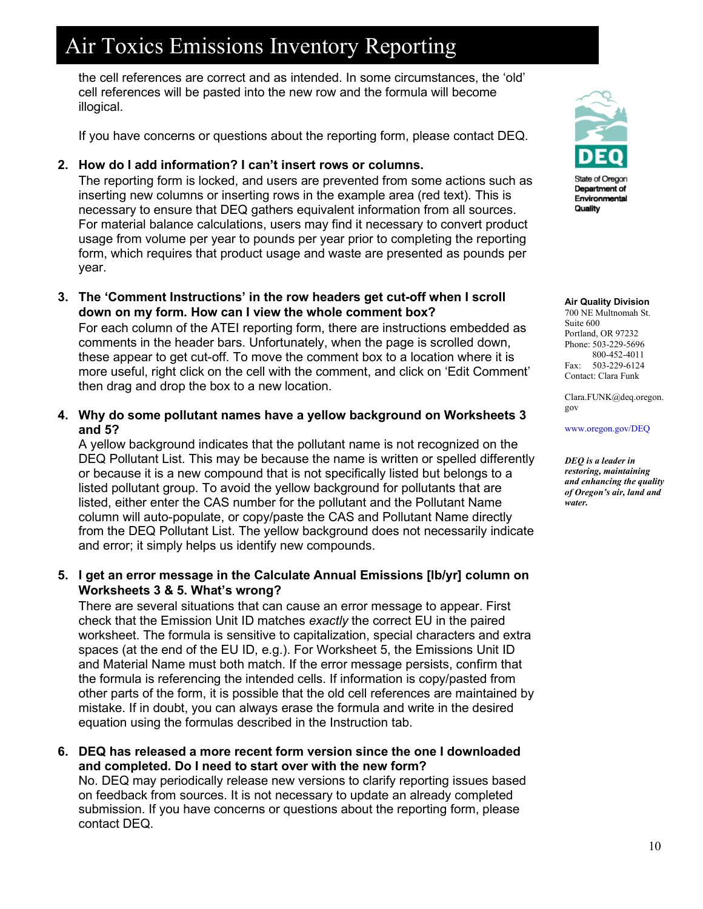the cell references are correct and as intended. In some circumstances, the 'old' cell references will be pasted into the new row and the formula will become illogical.

If you have concerns or questions about the reporting form, please contact DEQ.

### **2. How do I add information? I can't insert rows or columns.**

The reporting form is locked, and users are prevented from some actions such as inserting new columns or inserting rows in the example area (red text). This is necessary to ensure that DEQ gathers equivalent information from all sources. For material balance calculations, users may find it necessary to convert product usage from volume per year to pounds per year prior to completing the reporting form, which requires that product usage and waste are presented as pounds per year.

**3. The 'Comment Instructions' in the row headers get cut-off when I scroll down on my form. How can I view the whole comment box?**

For each column of the ATEI reporting form, there are instructions embedded as comments in the header bars. Unfortunately, when the page is scrolled down, these appear to get cut-off. To move the comment box to a location where it is more useful, right click on the cell with the comment, and click on 'Edit Comment' then drag and drop the box to a new location.

**4. Why do some pollutant names have a yellow background on Worksheets 3 and 5?**

A yellow background indicates that the pollutant name is not recognized on the DEQ Pollutant List. This may be because the name is written or spelled differently or because it is a new compound that is not specifically listed but belongs to a listed pollutant group. To avoid the yellow background for pollutants that are listed, either enter the CAS number for the pollutant and the Pollutant Name column will auto-populate, or copy/paste the CAS and Pollutant Name directly from the DEQ Pollutant List. The yellow background does not necessarily indicate and error; it simply helps us identify new compounds.

### **5. I get an error message in the Calculate Annual Emissions [lb/yr] column on Worksheets 3 & 5. What's wrong?**

There are several situations that can cause an error message to appear. First check that the Emission Unit ID matches *exactly* the correct EU in the paired worksheet. The formula is sensitive to capitalization, special characters and extra spaces (at the end of the EU ID, e.g.). For Worksheet 5, the Emissions Unit ID and Material Name must both match. If the error message persists, confirm that the formula is referencing the intended cells. If information is copy/pasted from other parts of the form, it is possible that the old cell references are maintained by mistake. If in doubt, you can always erase the formula and write in the desired equation using the formulas described in the Instruction tab.

**6. DEQ has released a more recent form version since the one I downloaded and completed. Do I need to start over with the new form?**

No. DEQ may periodically release new versions to clarify reporting issues based on feedback from sources. It is not necessary to update an already completed submission. If you have concerns or questions about the reporting form, please contact DEQ.



State of Oregon Department of Environmental Quality

#### **Air Quality Division**

700 NE Multnomah St. Suite 600 Portland, OR 97232 Phone: 503-229-5696 800-452-4011 Fax: 503-229-6124 Contact: Clara Funk

Clara.FUNK@deq.oregon. gov

[www.oregon.gov/DEQ](file://deq000/Templates/General/www.oregon.gov/DEQ)